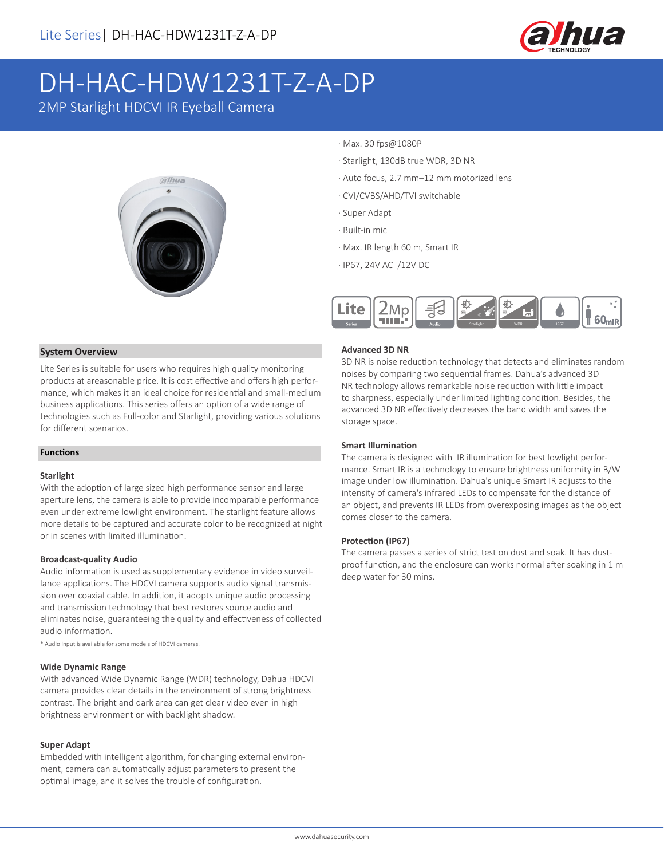

# DH-HAC-HDW1231T-Z-A-DP

2MP Starlight HDCVI IR Eyeball Camera



- · Max. 30 fps@1080P
- · Starlight, 130dB true WDR, 3D NR
- · Auto focus, 2.7 mm–12 mm motorized lens
- · CVI/CVBS/AHD/TVI switchable
- · Super Adapt
- · Built-in mic
- · Max. IR length 60 m, Smart IR
- · IP67, 24V AC /12V DC



#### **System Overview**

Lite Series is suitable for users who requires high quality monitoring products at areasonable price. It is cost effective and offers high performance, which makes it an ideal choice for residential and small-medium business applications. This series offers an option of a wide range of technologies such as Full-color and Starlight, providing various solutions for different scenarios.

#### **Functions**

#### **Starlight**

With the adoption of large sized high performance sensor and large aperture lens, the camera is able to provide incomparable performance even under extreme lowlight environment. The starlight feature allows more details to be captured and accurate color to be recognized at night or in scenes with limited illumination.

#### **Broadcast-quality Audio**

Audio information is used as supplementary evidence in video surveillance applications. The HDCVI camera supports audio signal transmission over coaxial cable. In addition, it adopts unique audio processing and transmission technology that best restores source audio and eliminates noise, guaranteeing the quality and effectiveness of collected audio information.

\* Audio input is available for some models of HDCVI cameras.

#### **Wide Dynamic Range**

With advanced Wide Dynamic Range (WDR) technology, Dahua HDCVI camera provides clear details in the environment of strong brightness contrast. The bright and dark area can get clear video even in high brightness environment or with backlight shadow.

#### **Super Adapt**

Embedded with intelligent algorithm, for changing external environment, camera can automatically adjust parameters to present the optimal image, and it solves the trouble of configuration.

#### **Advanced 3D NR**

3D NR is noise reduction technology that detects and eliminates random noises by comparing two sequential frames. Dahua's advanced 3D NR technology allows remarkable noise reduction with little impact to sharpness, especially under limited lighting condition. Besides, the advanced 3D NR effectively decreases the band width and saves the storage space.

#### **Smart Illumination**

The camera is designed with IR illumination for best lowlight performance. Smart IR is a technology to ensure brightness uniformity in B/W image under low illumination. Dahua's unique Smart IR adjusts to the intensity of camera's infrared LEDs to compensate for the distance of an object, and prevents IR LEDs from overexposing images as the object comes closer to the camera.

#### **Protection (IP67)**

The camera passes a series of strict test on dust and soak. It has dustproof function, and the enclosure can works normal after soaking in 1 m deep water for 30 mins.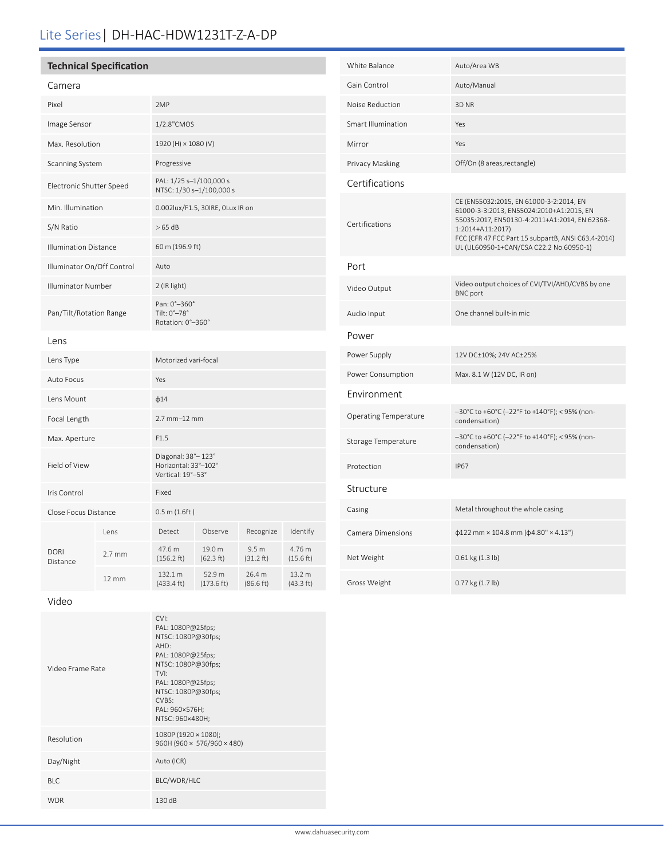# Lite Series| DH-HAC-HDW1231T-Z-A-DP

### **Technical Specification**

| Camera                       |          |                                                                   |                                |                               |                               |  |
|------------------------------|----------|-------------------------------------------------------------------|--------------------------------|-------------------------------|-------------------------------|--|
| Pixel                        |          | 2MP                                                               |                                |                               |                               |  |
| Image Sensor                 |          | 1/2.8"CMOS                                                        |                                |                               |                               |  |
| Max. Resolution              |          | 1920 (H) × 1080 (V)                                               |                                |                               |                               |  |
| Scanning System              |          | Progressive                                                       |                                |                               |                               |  |
| Electronic Shutter Speed     |          | PAL: 1/25 s-1/100,000 s<br>NTSC: 1/30 s-1/100,000 s               |                                |                               |                               |  |
| Min. Illumination            |          | 0.002lux/F1.5, 30IRE, 0Lux IR on                                  |                                |                               |                               |  |
| S/N Ratio                    |          | >65 dB                                                            |                                |                               |                               |  |
| <b>Illumination Distance</b> |          | 60 m (196.9 ft)                                                   |                                |                               |                               |  |
| Illuminator On/Off Control   |          | Auto                                                              |                                |                               |                               |  |
| <b>Illuminator Number</b>    |          | 2 (IR light)                                                      |                                |                               |                               |  |
| Pan/Tilt/Rotation Range      |          | Pan: 0°-360°<br>Tilt: $0^\circ - 78^\circ$<br>Rotation: 0°-360°   |                                |                               |                               |  |
| Lens                         |          |                                                                   |                                |                               |                               |  |
| Lens Type                    |          | Motorized vari-focal                                              |                                |                               |                               |  |
| Auto Focus                   |          | Yes                                                               |                                |                               |                               |  |
| Lens Mount                   |          | $\phi$ 14                                                         |                                |                               |                               |  |
| Focal Length                 |          | $2.7$ mm $-12$ mm                                                 |                                |                               |                               |  |
| Max. Aperture                |          | F1.5                                                              |                                |                               |                               |  |
| Field of View                |          | Diagonal: 38° - 123°<br>Horizontal: 33°-102°<br>Vertical: 19°-53° |                                |                               |                               |  |
| Iris Control                 |          | Fixed                                                             |                                |                               |                               |  |
| Close Focus Distance         |          | $0.5$ m $(1.6 ft)$                                                |                                |                               |                               |  |
| DORI<br>Distance             | l ens    | Detect                                                            | Observe                        | Recognize                     | Identify                      |  |
|                              | $2.7$ mm | 47.6 m<br>(156.2 ft)                                              | 19.0 m<br>(62.3 ft)            | 9.5 <sub>m</sub><br>(31.2 ft) | 4.76 m<br>(15.6 ft)           |  |
|                              | 12 mm    | 132.1 m<br>$(433.4 \text{ ft})$                                   | 52.9 m<br>$(173.6 \text{ ft})$ | 26.4 m<br>(86.6 ft)           | 13.2 m<br>$(43.3 \text{ ft})$ |  |
|                              |          |                                                                   |                                |                               |                               |  |

| White Balance                | Auto/Area WB                                                                                                                                                                                                                                              |  |  |
|------------------------------|-----------------------------------------------------------------------------------------------------------------------------------------------------------------------------------------------------------------------------------------------------------|--|--|
| Gain Control                 | Auto/Manual                                                                                                                                                                                                                                               |  |  |
| Noise Reduction              | 3D <sub>NR</sub>                                                                                                                                                                                                                                          |  |  |
| Smart Illumination           | Yes                                                                                                                                                                                                                                                       |  |  |
| Mirror                       | Yes                                                                                                                                                                                                                                                       |  |  |
| Privacy Masking              | Off/On (8 areas, rectangle)                                                                                                                                                                                                                               |  |  |
| Certifications               |                                                                                                                                                                                                                                                           |  |  |
| Certifications               | CE (EN55032:2015, EN 61000-3-2:2014, EN<br>61000-3-3:2013, EN55024:2010+A1:2015, EN<br>55035:2017, EN50130-4:2011+A1:2014, EN 62368-<br>1:2014+A11:2017)<br>FCC (CFR 47 FCC Part 15 subpartB, ANSI C63.4-2014)<br>UL (UL60950-1+CAN/CSA C22.2 No.60950-1) |  |  |
| Port                         |                                                                                                                                                                                                                                                           |  |  |
| Video Output                 | Video output choices of CVI/TVI/AHD/CVBS by one<br><b>BNC</b> port                                                                                                                                                                                        |  |  |
| Audio Input                  | One channel built-in mic                                                                                                                                                                                                                                  |  |  |
| Power                        |                                                                                                                                                                                                                                                           |  |  |
| Power Supply                 | 12V DC±10%; 24V AC±25%                                                                                                                                                                                                                                    |  |  |
| Power Consumption            | Max. 8.1 W (12V DC, IR on)                                                                                                                                                                                                                                |  |  |
| Environment                  |                                                                                                                                                                                                                                                           |  |  |
| <b>Operating Temperature</b> | –30°C to +60°C (–22°F to +140°F); < 95% (non-<br>condensation)                                                                                                                                                                                            |  |  |
| Storage Temperature          | -30°C to +60°C (-22°F to +140°F); < 95% (non-<br>condensation)                                                                                                                                                                                            |  |  |
| Protection                   | <b>IP67</b>                                                                                                                                                                                                                                               |  |  |
| Structure                    |                                                                                                                                                                                                                                                           |  |  |
| Casing                       | Metal throughout the whole casing                                                                                                                                                                                                                         |  |  |
| Camera Dimensions            | $\phi$ 122 mm × 104.8 mm ( $\phi$ 4.80" × 4.13")                                                                                                                                                                                                          |  |  |
| Net Weight                   | 0.61 kg (1.3 lb)                                                                                                                                                                                                                                          |  |  |
| Gross Weight                 | 0.77 kg (1.7 lb)                                                                                                                                                                                                                                          |  |  |

Video

| Video Frame Rate | CVI:<br>PAL: 1080P@25fps;<br>NTSC: 1080P@30fps;<br>AHD:<br>PAL: 1080P@25fps;<br>NTSC: 1080P@30fps;<br>TVI:<br>PAL: 1080P@25fps;<br>NTSC: 1080P@30fps;<br>CVBS:<br>PAL: 960×576H;<br>NTSC: 960×480H; |
|------------------|-----------------------------------------------------------------------------------------------------------------------------------------------------------------------------------------------------|
| Resolution       | 1080P (1920 × 1080);<br>960H (960 × 576/960 × 480)                                                                                                                                                  |
| Day/Night        | Auto (ICR)                                                                                                                                                                                          |
| BIC.             | BLC/WDR/HLC                                                                                                                                                                                         |
| <b>WDR</b>       | 130 dB                                                                                                                                                                                              |